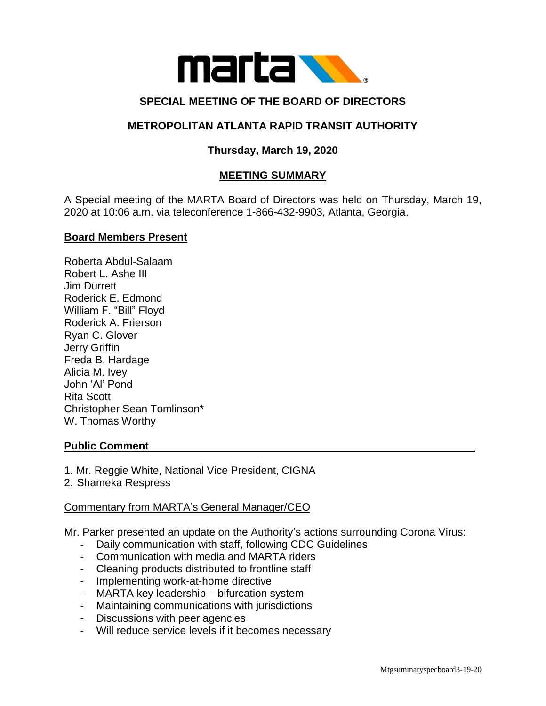

# **SPECIAL MEETING OF THE BOARD OF DIRECTORS**

## **METROPOLITAN ATLANTA RAPID TRANSIT AUTHORITY**

# **Thursday, March 19, 2020**

## **MEETING SUMMARY**

A Special meeting of the MARTA Board of Directors was held on Thursday, March 19, 2020 at 10:06 a.m. via teleconference 1-866-432-9903, Atlanta, Georgia.

#### **Board Members Present**

Roberta Abdul-Salaam Robert L. Ashe III Jim Durrett Roderick E. Edmond William F. "Bill" Floyd Roderick A. Frierson Ryan C. Glover Jerry Griffin Freda B. Hardage Alicia M. Ivey John 'Al' Pond Rita Scott Christopher Sean Tomlinson\* W. Thomas Worthy

#### **Public Comment**

1. Mr. Reggie White, National Vice President, CIGNA

2. Shameka Respress

#### Commentary from MARTA's General Manager/CEO

Mr. Parker presented an update on the Authority's actions surrounding Corona Virus:

- Daily communication with staff, following CDC Guidelines
- Communication with media and MARTA riders
- Cleaning products distributed to frontline staff
- Implementing work-at-home directive
- MARTA key leadership bifurcation system
- Maintaining communications with jurisdictions
- Discussions with peer agencies
- Will reduce service levels if it becomes necessary